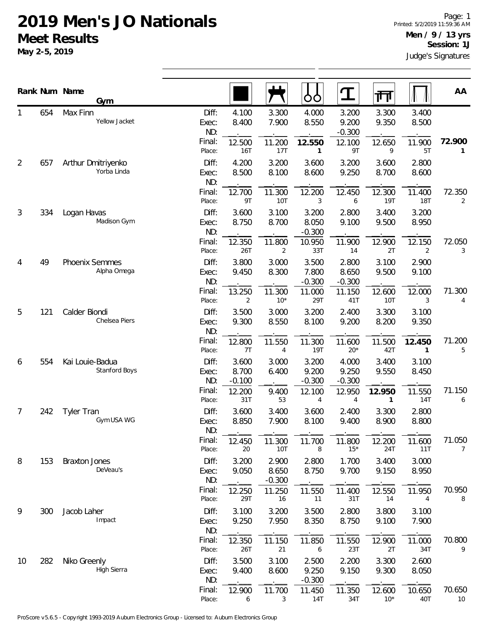|                |     | Rank Num Name<br>Gym              |                       |                            |                            | ŌÒ                         | <u>ፐ</u>                   | 襾                      |                      | AA           |
|----------------|-----|-----------------------------------|-----------------------|----------------------------|----------------------------|----------------------------|----------------------------|------------------------|----------------------|--------------|
| 1              | 654 | Max Finn<br>Yellow Jacket         | Diff:<br>Exec:<br>ND: | 4.100<br>8.400             | 3.300<br>7.900             | 4.000<br>8.550             | 3.200<br>9.200<br>$-0.300$ | 3.300<br>9.350         | 3.400<br>8.500       |              |
|                |     |                                   | Final:<br>Place:      | 12.500<br>16T              | 11.200<br>17T              | 12.550<br>1                | 12.100<br>9T               | 12.650<br>9            | 11.900<br>5T         | 72.900<br>1  |
| $\overline{2}$ | 657 | Arthur Dmitriyenko<br>Yorba Linda | Diff:<br>Exec:<br>ND: | 4.200<br>8.500             | 3.200<br>8.100             | 3.600<br>8.600             | 3.200<br>9.250             | 3.600<br>8.700         | 2.800<br>8.600       |              |
|                |     |                                   | Final:<br>Place:      | 12.700<br>9T               | 11.300<br>10T              | 12.200<br>3                | 12.450<br>6                | 12.300<br>19T          | 11.400<br><b>18T</b> | 72.350<br>2  |
| 3              | 334 | Logan Havas<br>Madison Gym        | Diff:<br>Exec:<br>ND: | 3.600<br>8.750             | 3.100<br>8.700             | 3.200<br>8.050<br>$-0.300$ | 2.800<br>9.100             | 3.400<br>9.500         | 3.200<br>8.950       |              |
|                |     |                                   | Final:<br>Place:      | 12.350<br>26T              | 11.800<br>2                | 10.950<br>33T              | 11.900<br>14               | 12.900<br>2T           | 12.150<br>2          | 72.050<br>3  |
| 4              | 49  | Phoenix Semmes<br>Alpha Omega     | Diff:<br>Exec:<br>ND: | 3.800<br>9.450             | 3.000<br>8.300             | 3.500<br>7.800<br>$-0.300$ | 2.800<br>8.650<br>$-0.300$ | 3.100<br>9.500         | 2.900<br>9.100       |              |
|                |     |                                   | Final:<br>Place:      | 13.250<br>2                | 11.300<br>$10*$            | 11.000<br>29T              | 11.150<br>41T              | 12.600<br>10T          | 12.000<br>3          | 71.300<br>4  |
| 5              | 121 | Calder Biondi<br>Chelsea Piers    | Diff:<br>Exec:<br>ND: | 3.500<br>9.300             | 3.000<br>8.550             | 3.200<br>8.100             | 2.400<br>9.200             | 3.300<br>8.200         | 3.100<br>9.350       |              |
|                |     | Final:<br>Place:                  | 12.800<br>7T          | 11.550<br>4                | 11.300<br><b>19T</b>       | 11.600<br>$20*$            | 11.500<br>42T              | 12.450<br>1            | 71.200<br>5          |              |
| 6              | 554 | Kai Louie-Badua<br>Stanford Boys  | Diff:<br>Exec:<br>ND: | 3.600<br>8.700<br>$-0.100$ | 3.000<br>6.400             | 3.200<br>9.200<br>$-0.300$ | 4.000<br>9.250<br>$-0.300$ | 3.400<br>9.550         | 3.100<br>8.450       |              |
|                |     |                                   | Final:<br>Place:      | 12.200<br>31T              | 9.400<br>53                | 12.100<br>4                | 12.950<br>4                | 12.950<br>$\mathbf{1}$ | 11.550<br>14T        | 71.150<br>6  |
| 7              | 242 | <b>Tyler Tran</b><br>Gym USA WG   | Diff:<br>Exec:<br>ND: | 3.600<br>8.850             | 3.400<br>7.900             | 3.600<br>8.100             | 2.400<br>9.400             | 3.300<br>8.900         | 2.800<br>8.800       |              |
|                |     |                                   | Final:<br>Place:      | 12.450<br>20               | 11.300<br>10T              | 11.700<br>8                | 11.800<br>$15*$            | 12.200<br>24T          | 11.600<br>11T        | 71.050<br>7  |
| 8              | 153 | <b>Braxton Jones</b><br>DeVeau's  | Diff:<br>Exec:<br>ND: | 3.200<br>9.050             | 2.900<br>8.650<br>$-0.300$ | 2.800<br>8.750             | 1.700<br>9.700             | 3.400<br>9.150         | 3.000<br>8.950       |              |
|                |     |                                   | Final:<br>Place:      | 12.250<br>29T              | 11.250<br>16               | 11.550<br>11               | 11.400<br>31T              | 12.550<br>14           | 11.950<br>4          | 70.950<br>8  |
| 9              | 300 | Jacob Laher<br>Impact             | Diff:<br>Exec:<br>ND: | 3.100<br>9.250             | 3.200<br>7.950             | 3.500<br>8.350             | 2.800<br>8.750             | 3.800<br>9.100         | 3.100<br>7.900       |              |
|                |     |                                   | Final:<br>Place:      | 12.350<br>26T              | 11.150<br>21               | 11.850<br>6                | 11.550<br>23T              | 12.900<br>2T           | 11.000<br>34T        | 70.800<br>9  |
| 10             | 282 | Niko Greenly<br>High Sierra       | Diff:<br>Exec:<br>ND: | 3.500<br>9.400             | 3.100<br>8.600             | 2.500<br>9.250<br>$-0.300$ | 2.200<br>9.150             | 3.300<br>9.300         | 2.600<br>8.050       |              |
|                |     |                                   | Final:<br>Place:      | 12.900<br>6                | 11.700<br>3                | 11.450<br><b>14T</b>       | 11.350<br>34T              | 12.600<br>$10*$        | 10.650<br>40T        | 70.650<br>10 |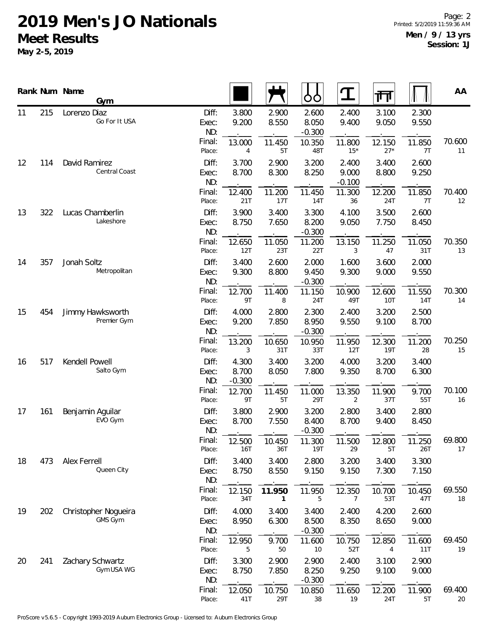|           |     | Rank Num Name<br>Gym            |                       |                            |                | ŎŎ                         | $\mathbf T$                | गा                   |                | AA           |
|-----------|-----|---------------------------------|-----------------------|----------------------------|----------------|----------------------------|----------------------------|----------------------|----------------|--------------|
| 215<br>11 |     | Lorenzo Diaz<br>Go For It USA   | Diff:<br>Exec:<br>ND: | 3.800<br>9.200             | 2.900<br>8.550 | 2.600<br>8.050<br>$-0.300$ | 2.400<br>9.400             | 3.100<br>9.050       | 2.300<br>9.550 |              |
|           |     |                                 | Final:<br>Place:      | 13.000<br>4                | 11.450<br>5T   | 10.350<br>48T              | 11.800<br>$15*$            | 12.150<br>$27*$      | 11.850<br>7T   | 70.600<br>11 |
| 12        | 114 | David Ramirez<br>Central Coast  | Diff:<br>Exec:<br>ND: | 3.700<br>8.700             | 2.900<br>8.300 | 3.200<br>8.250             | 2.400<br>9.000<br>$-0.100$ | 3.400<br>8.800       | 2.600<br>9.250 |              |
|           |     |                                 | Final:<br>Place:      | 12.400<br>21T              | 11.200<br>17T  | 11.450<br>14T              | 11.300<br>36               | 12.200<br>24T        | 11.850<br>7T   | 70.400<br>12 |
| 13        | 322 | Lucas Chamberlin<br>Lakeshore   | Diff:<br>Exec:<br>ND: | 3.900<br>8.750             | 3.400<br>7.650 | 3.300<br>8.200<br>$-0.300$ | 4.100<br>9.050             | 3.500<br>7.750       | 2.600<br>8.450 |              |
|           |     |                                 | Final:<br>Place:      | 12.650<br>12T              | 11.050<br>23T  | 11.200<br>22T              | 13.150<br>3                | 11.250<br>47         | 11.050<br>31T  | 70.350<br>13 |
| 14        | 357 | Jonah Soltz<br>Metropolitan     | Diff:<br>Exec:<br>ND: | 3.400<br>9.300             | 2.600<br>8.800 | 2.000<br>9.450<br>$-0.300$ | 1.600<br>9.300             | 3.600<br>9.000       | 2.000<br>9.550 |              |
|           |     |                                 | Final:<br>Place:      | 12.700<br>9T               | 11.400<br>8    | 11.150<br>24T              | 10.900<br>49T              | 12.600<br>10T        | 11.550<br>14T  | 70.300<br>14 |
| 15        | 454 | Jimmy Hawksworth<br>Premier Gym | Diff:<br>Exec:<br>ND: | 4.000<br>9.200             | 2.800<br>7.850 | 2.300<br>8.950<br>$-0.300$ | 2.400<br>9.550             | 3.200<br>9.100       | 2.500<br>8.700 |              |
|           |     |                                 | Final:<br>Place:      | 13.200<br>3                | 10.650<br>31T  | 10.950<br>33T              | 11.950<br>12T              | 12.300<br><b>19T</b> | 11.200<br>28   | 70.250<br>15 |
| 16        | 517 | Kendell Powell<br>Salto Gym     | Diff:<br>Exec:<br>ND: | 4.300<br>8.700<br>$-0.300$ | 3.400<br>8.050 | 3.200<br>7.800             | 4.000<br>9.350             | 3.200<br>8.700       | 3.400<br>6.300 |              |
|           |     |                                 | Final:<br>Place:      | 12.700<br>9T               | 11.450<br>5T   | 11.000<br>29T              | 13.350<br>2                | 11.900<br>37T        | 9.700<br>55T   | 70.100<br>16 |
| 17        | 161 | Benjamin Aguilar<br>EVO Gym     | Diff:<br>Exec:<br>ND: | 3.800<br>8.700             | 2.900<br>7.550 | 3.200<br>8.400<br>$-0.300$ | 2.800<br>8.700             | 3.400<br>9.400       | 2.800<br>8.450 |              |
|           |     |                                 | Final:<br>Place:      | 12.500<br>16T              | 10.450<br>36T  | 11.300<br>19T              | 11.500<br>29               | 12.800<br>5T         | 11.250<br>26T  | 69.800<br>17 |
| 18        | 473 | Alex Ferrell<br>Queen City      | Diff:<br>Exec:<br>ND: | 3.400<br>8.750             | 3.400<br>8.550 | 2.800<br>9.150             | 3.200<br>9.150             | 3.400<br>7.300       | 3.300<br>7.150 |              |
|           |     |                                 | Final:<br>Place:      | 12.150<br>34T              | 11.950<br>1    | 11.950<br>5                | 12.350<br>7                | 10.700<br>53T        | 10.450<br>47T  | 69.550<br>18 |
| 19        | 202 | Christopher Nogueira<br>GMS Gym | Diff:<br>Exec:<br>ND: | 4.000<br>8.950             | 3.400<br>6.300 | 3.400<br>8.500<br>$-0.300$ | 2.400<br>8.350             | 4.200<br>8.650       | 2.600<br>9.000 |              |
|           |     |                                 | Final:<br>Place:      | 12.950<br>5                | 9.700<br>50    | 11.600<br>10               | 10.750<br>52T              | 12.850<br>4          | 11.600<br>11T  | 69.450<br>19 |
| 20        | 241 | Zachary Schwartz<br>Gym USA WG  | Diff:<br>Exec:<br>ND: | 3.300<br>8.750             | 2.900<br>7.850 | 2.900<br>8.250<br>$-0.300$ | 2.400<br>9.250             | 3.100<br>9.100       | 2.900<br>9.000 |              |
|           |     |                                 | Final:<br>Place:      | 12.050<br>41T              | 10.750<br>29T  | 10.850<br>38               | 11.650<br>19               | 12.200<br>24T        | 11.900<br>5T   | 69.400<br>20 |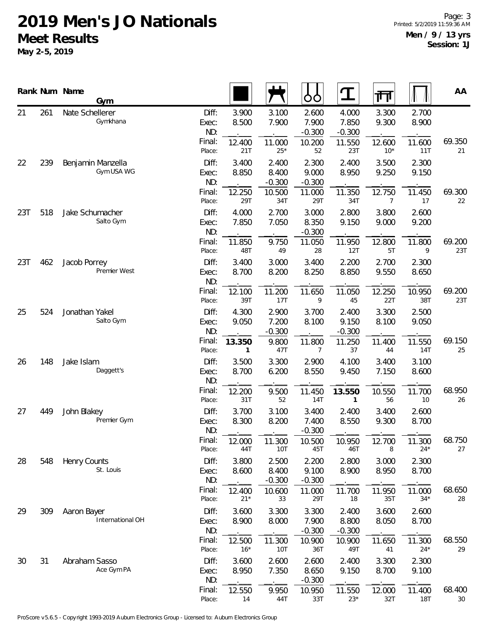|           |     | Rank Num Name       | Gym                             |                                           |                                 |                                   | OO                                         | $\mathbf T$                                 | 帀                                        |                                 | AA            |
|-----------|-----|---------------------|---------------------------------|-------------------------------------------|---------------------------------|-----------------------------------|--------------------------------------------|---------------------------------------------|------------------------------------------|---------------------------------|---------------|
| 21        | 261 | Nate Schellerer     | Gymkhana                        | Diff:<br>Exec:<br>ND:<br>Final:<br>Place: | 3.900<br>8.500<br>12.400<br>21T | 3.100<br>7.900<br>11.000<br>$25*$ | 2.600<br>7.900<br>$-0.300$<br>10.200<br>52 | 4.000<br>7.850<br>$-0.300$<br>11.550<br>23T | 3.300<br>9.300<br>12.600<br>$10^{\star}$ | 2.700<br>8.900<br>11.600<br>11T | 69.350<br>21  |
| 22        | 239 |                     | Benjamin Manzella<br>Gym USA WG | Diff:<br>Exec:<br>ND:                     | 3.400<br>8.850                  | 2.400<br>8.400<br>$-0.300$        | 2.300<br>9.000<br>$-0.300$                 | 2.400<br>8.950                              | 3.500<br>9.250                           | 2.300<br>9.150                  |               |
|           |     |                     |                                 | Final:<br>Place:                          | 12.250<br>29T                   | 10.500<br>34T                     | 11.000<br>29T                              | 11.350<br>34T                               | 12.750<br>7                              | 11.450<br>17                    | 69.300<br>22  |
| 23T       | 518 | Jake Schumacher     | Salto Gym                       | Diff:<br>Exec:<br>ND:                     | 4.000<br>7.850                  | 2.700<br>7.050                    | 3.000<br>8.350<br>$-0.300$                 | 2.800<br>9.150                              | 3.800<br>9.000                           | 2.600<br>9.200                  |               |
|           |     |                     |                                 | Final:<br>Place:                          | 11.850<br>48T                   | 9.750<br>49                       | 11.050<br>28                               | 11.950<br>12T                               | 12.800<br>5T                             | 11.800<br>9                     | 69.200<br>23T |
| 23T       | 462 | Jacob Porrey        | Premier West                    | Diff:<br>Exec:<br>ND:                     | 3.400<br>8.700                  | 3.000<br>8.200                    | 3.400<br>8.250                             | 2.200<br>8.850                              | 2.700<br>9.550                           | 2.300<br>8.650                  |               |
|           |     |                     |                                 | Final:<br>Place:                          | 12.100<br>39T                   | 11.200<br>17T                     | 11.650<br>9                                | 11.050<br>45                                | 12.250<br>22T                            | 10.950<br>38T                   | 69.200<br>23T |
| 524<br>25 |     | Jonathan Yakel      | Salto Gym                       | Diff:<br>Exec:<br>ND:                     | 4.300<br>9.050                  | 2.900<br>7.200<br>$-0.300$        | 3.700<br>8.100                             | 2.400<br>9.150<br>$-0.300$                  | 3.300<br>8.100                           | 2.500<br>9.050                  |               |
|           |     |                     |                                 | Final:<br>Place:                          | 13.350<br>1                     | 9.800<br>47T                      | 11.800<br>7                                | 11.250<br>37                                | 11.400<br>44                             | 11.550<br><b>14T</b>            | 69.150<br>25  |
| 26        | 148 | Jake Islam          | Daggett's                       | Diff:<br>Exec:<br>ND:                     | 3.500<br>8.700                  | 3.300<br>6.200                    | 2.900<br>8.550                             | 4.100<br>9.450                              | 3.400<br>7.150                           | 3.100<br>8.600                  |               |
|           |     |                     |                                 | Final:<br>Place:                          | 12.200<br>31T                   | 9.500<br>52                       | 11.450<br>14T                              | 13.550<br>$\mathbf{1}$                      | 10.550<br>56                             | 11.700<br>10                    | 68.950<br>26  |
| 27        | 449 | John Blakey         | Premier Gym                     | Diff:<br>Exec:<br>ND:                     | 3.700<br>8.300                  | 3.100<br>8.200                    | 3.400<br>7.400<br>$-0.300$                 | 2.400<br>8.550                              | 3.400<br>9.300                           | 2.600<br>8.700                  |               |
|           |     |                     |                                 | Final:<br>Place:                          | 12.000<br>44T                   | 11.300<br>10T                     | 10.500<br>45T                              | 10.950<br>46T                               | 12.700<br>8                              | 11.300<br>$24*$                 | 68.750<br>27  |
| 28        | 548 | <b>Henry Counts</b> | St. Louis                       | Diff:<br>Exec:<br>ND:                     | 3.800<br>8.600                  | 2.500<br>8.400<br>$-0.300$        | 2.200<br>9.100<br>$-0.300$                 | 2.800<br>8.900                              | 3.000<br>8.950                           | 2.300<br>8.700                  |               |
|           |     |                     |                                 | Final:<br>Place:                          | 12.400<br>$21*$                 | 10.600<br>33                      | 11.000<br>29T                              | 11.700<br>18                                | 11.950<br>35T                            | 11.000<br>$34*$                 | 68.650<br>28  |
| 29        | 309 | Aaron Bayer         | International OH                | Diff:<br>Exec:<br>ND:                     | 3.600<br>8.900                  | 3.300<br>8.000                    | 3.300<br>7.900<br>$-0.300$                 | 2.400<br>8.800<br>$-0.300$                  | 3.600<br>8.050                           | 2.600<br>8.700                  |               |
|           |     |                     |                                 | Final:<br>Place:                          | 12.500<br>$16*$                 | 11.300<br>10T                     | 10.900<br>36T                              | 10.900<br>49T                               | 11.650<br>41                             | 11.300<br>$24*$                 | 68.550<br>29  |
| 30        | 31  | Abraham Sasso       | Ace Gym PA                      | Diff:<br>Exec:<br>ND:                     | 3.600<br>8.950                  | 2.600<br>7.350                    | 2.600<br>8.650<br>$-0.300$                 | 2.400<br>9.150                              | 3.300<br>8.700                           | 2.300<br>9.100                  |               |
|           |     |                     |                                 | Final:<br>Place:                          | 12.550<br>14                    | 9.950<br>44T                      | 10.950<br>33T                              | 11.550<br>$23*$                             | 12.000<br>32T                            | 11.400<br><b>18T</b>            | 68.400<br>30  |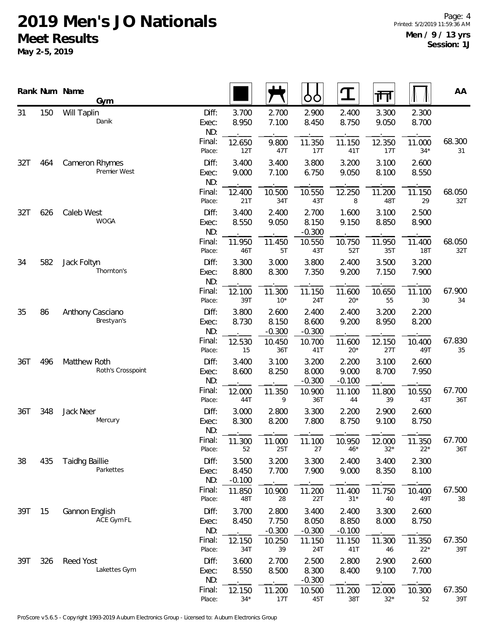|            |     | Rank Num Name<br>Gym               |                       |                            |                            | O<br>O                     | ${\bf T}$                  | 帀               |                 | AA            |
|------------|-----|------------------------------------|-----------------------|----------------------------|----------------------------|----------------------------|----------------------------|-----------------|-----------------|---------------|
| 31         | 150 | Will Taplin<br>Danik               | Diff:<br>Exec:<br>ND: | 3.700<br>8.950             | 2.700<br>7.100             | 2.900<br>8.450             | 2.400<br>8.750             | 3.300<br>9.050  | 2.300<br>8.700  |               |
|            |     |                                    | Final:<br>Place:      | 12.650<br>12T              | 9.800<br>47T               | 11.350<br>17T              | 11.150<br>41T              | 12.350<br>17T   | 11.000<br>$34*$ | 68.300<br>31  |
| 32T<br>464 |     | Cameron Rhymes<br>Premier West     | Diff:<br>Exec:<br>ND: | 3.400<br>9.000             | 3.400<br>7.100             | 3.800<br>6.750             | 3.200<br>9.050             | 3.100<br>8.100  | 2.600<br>8.550  |               |
|            |     |                                    | Final:<br>Place:      | 12.400<br>21T              | 10.500<br>34T              | 10.550<br>43T              | 12.250<br>8                | 11.200<br>48T   | 11.150<br>29    | 68.050<br>32T |
| 32T        | 626 | Caleb West<br><b>WOGA</b>          | Diff:<br>Exec:<br>ND: | 3.400<br>8.550             | 2.400<br>9.050             | 2.700<br>8.150<br>$-0.300$ | 1.600<br>9.150             | 3.100<br>8.850  | 2.500<br>8.900  |               |
|            |     |                                    | Final:<br>Place:      | 11.950<br>46T              | 11.450<br>5T               | 10.550<br>43T              | 10.750<br>52T              | 11.950<br>35T   | 11.400<br>18T   | 68.050<br>32T |
| 34         | 582 | Jack Foltyn<br>Thornton's          | Diff:<br>Exec:<br>ND: | 3.300<br>8.800             | 3.000<br>8.300             | 3.800<br>7.350             | 2.400<br>9.200             | 3.500<br>7.150  | 3.200<br>7.900  |               |
|            |     |                                    | Final:<br>Place:      | 12.100<br>39T              | 11.300<br>$10*$            | 11.150<br>24T              | 11.600<br>$20*$            | 10.650<br>55    | 11.100<br>30    | 67.900<br>34  |
| 35         | 86  | Anthony Casciano<br>Brestyan's     | Diff:<br>Exec:<br>ND: | 3.800<br>8.730             | 2.600<br>8.150<br>$-0.300$ | 2.400<br>8.600<br>$-0.300$ | 2.400<br>9.200             | 3.200<br>8.950  | 2.200<br>8.200  |               |
|            |     |                                    | Final:<br>Place:      | 12.530<br>15               | 10.450<br>36T              | 10.700<br>41T              | 11.600<br>$20*$            | 12.150<br>27T   | 10.400<br>49T   | 67.830<br>35  |
| 36T        | 496 | Matthew Roth<br>Roth's Crosspoint  | Diff:<br>Exec:<br>ND: | 3.400<br>8.600             | 3.100<br>8.250             | 3.200<br>8.000<br>$-0.300$ | 2.200<br>9.000<br>$-0.100$ | 3.100<br>8.700  | 2.600<br>7.950  |               |
|            |     |                                    | Final:<br>Place:      | 12.000<br>44T              | 11.350<br>9                | 10.900<br>36T              | 11.100<br>44               | 11.800<br>39    | 10.550<br>43T   | 67.700<br>36T |
| 36T        | 348 | Jack Neer<br>Mercury               | Diff:<br>Exec:<br>ND: | 3.000<br>8.300             | 2.800<br>8.200             | 3.300<br>7.800             | 2.200<br>8.750             | 2.900<br>9.100  | 2.600<br>8.750  |               |
|            |     |                                    | Final:<br>Place:      | 11.300<br>52               | 11.000<br>25T              | 11.100<br>27               | 10.950<br>$46*$            | 12.000<br>$32*$ | 11.350<br>$22*$ | 67.700<br>36T |
| 38         | 435 | <b>Taidhg Baillie</b><br>Parkettes | Diff:<br>Exec:<br>ND: | 3.500<br>8.450<br>$-0.100$ | 3.200<br>7.700             | 3.300<br>7.900             | 2.400<br>9.000             | 3.400<br>8.350  | 2.300<br>8.100  |               |
|            |     |                                    | Final:<br>Place:      | 11.850<br>48T              | 10.900<br>28               | 11.200<br>22T              | 11.400<br>$31*$            | 11.750<br>40    | 10.400<br>49T   | 67.500<br>38  |
| 39T        | 15  | Gannon English<br>ACE Gym FL       | Diff:<br>Exec:<br>ND: | 3.700<br>8.450             | 2.800<br>7.750<br>$-0.300$ | 3.400<br>8.050<br>$-0.300$ | 2.400<br>8.850<br>$-0.100$ | 3.300<br>8.000  | 2.600<br>8.750  |               |
|            |     |                                    | Final:<br>Place:      | 12.150<br>34T              | 10.250<br>39               | 11.150<br>24T              | 11.150<br>41T              | 11.300<br>46    | 11.350<br>$22*$ | 67.350<br>39T |
| 39T        | 326 | Reed Yost<br>Lakettes Gym          | Diff:<br>Exec:<br>ND: | 3.600<br>8.550             | 2.700<br>8.500             | 2.500<br>8.300<br>$-0.300$ | 2.800<br>8.400             | 2.900<br>9.100  | 2.600<br>7.700  |               |
|            |     |                                    | Final:<br>Place:      | 12.150<br>$34*$            | 11.200<br>17T              | 10.500<br>45T              | 11.200<br>38T              | 12.000<br>$32*$ | 10.300<br>52    | 67.350<br>39T |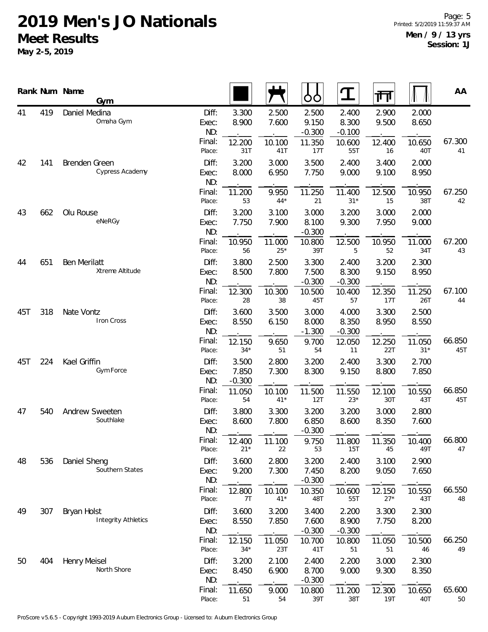|     |     | Rank Num Name<br>Gym                      |                       |                            |                 | OO                         | $\mathbf T$                | ग्ग             |                | AA            |
|-----|-----|-------------------------------------------|-----------------------|----------------------------|-----------------|----------------------------|----------------------------|-----------------|----------------|---------------|
| 41  | 419 | Daniel Medina<br>Omaha Gym                | Diff:<br>Exec:<br>ND: | 3.300<br>8.900             | 2.500<br>7.600  | 2.500<br>9.150<br>$-0.300$ | 2.400<br>8.300<br>$-0.100$ | 2.900<br>9.500  | 2.000<br>8.650 |               |
|     |     |                                           | Final:<br>Place:      | 12.200<br>31T              | 10.100<br>41T   | 11.350<br>17T              | 10.600<br>55T              | 12.400<br>16    | 10.650<br>40T  | 67.300<br>41  |
| 42  | 141 | Brenden Green<br>Cypress Academy          | Diff:<br>Exec:<br>ND: | 3.200<br>8.000             | 3.000<br>6.950  | 3.500<br>7.750             | 2.400<br>9.000             | 3.400<br>9.100  | 2.000<br>8.950 |               |
|     |     |                                           | Final:<br>Place:      | 11.200<br>53               | 9.950<br>$44*$  | 11.250<br>21               | 11.400<br>$31*$            | 12.500<br>15    | 10.950<br>38T  | 67.250<br>42  |
| 43  | 662 | Olu Rouse<br>eNeRGy                       | Diff:<br>Exec:<br>ND: | 3.200<br>7.750             | 3.100<br>7.900  | 3.000<br>8.100<br>$-0.300$ | 3.200<br>9.300             | 3.000<br>7.950  | 2.000<br>9.000 |               |
|     |     |                                           | Final:<br>Place:      | 10.950<br>56               | 11.000<br>$25*$ | 10.800<br>39T              | 12.500<br>5                | 10.950<br>52    | 11.000<br>34T  | 67.200<br>43  |
| 44  | 651 | Ben Merilatt<br>Xtreme Altitude           | Diff:<br>Exec:<br>ND: | 3.800<br>8.500             | 2.500<br>7.800  | 3.300<br>7.500<br>$-0.300$ | 2.400<br>8.300<br>$-0.300$ | 3.200<br>9.150  | 2.300<br>8.950 |               |
|     |     |                                           | Final:<br>Place:      | 12.300<br>28               | 10.300<br>38    | 10.500<br>45T              | 10.400<br>57               | 12.350<br>17T   | 11.250<br>26T  | 67.100<br>44  |
| 45T | 318 | Nate Vontz<br>Iron Cross                  | Diff:<br>Exec:<br>ND: | 3.600<br>8.550             | 3.500<br>6.150  | 3.000<br>8.000<br>$-1.300$ | 4.000<br>8.350<br>$-0.300$ | 3.300<br>8.950  | 2.500<br>8.550 |               |
|     |     | Final:<br>Place:                          | 12.150<br>$34*$       | 9.650<br>51                | 9.700<br>54     | 12.050<br>11               | 12.250<br>22T              | 11.050<br>$31*$ | 66.850<br>45T  |               |
| 45T | 224 | Kael Griffin<br>Gym Force                 | Diff:<br>Exec:<br>ND: | 3.500<br>7.850<br>$-0.300$ | 2.800<br>7.300  | 3.200<br>8.300             | 2.400<br>9.150             | 3.300<br>8.800  | 2.700<br>7.850 |               |
|     |     |                                           | Final:<br>Place:      | 11.050<br>54               | 10.100<br>$41*$ | 11.500<br>12T              | 11.550<br>$23*$            | 12.100<br>30T   | 10.550<br>43T  | 66.850<br>45T |
| 47  | 540 | Andrew Sweeten<br>Southlake               | Diff:<br>Exec:<br>ND: | 3.800<br>8.600             | 3.300<br>7.800  | 3.200<br>6.850<br>$-0.300$ | 3.200<br>8.600             | 3.000<br>8.350  | 2.800<br>7.600 |               |
|     |     |                                           | Final:<br>Place:      | 12.400<br>$21*$            | 11.100<br>22    | 9.750<br>53                | 11.800<br>15T              | 11.350<br>45    | 10.400<br>49T  | 66.800<br>47  |
| 48  | 536 | Daniel Sheng<br>Southern States           | Diff:<br>Exec:<br>ND: | 3.600<br>9.200             | 2.800<br>7.300  | 3.200<br>7.450<br>$-0.300$ | 2.400<br>8.200             | 3.100<br>9.050  | 2.900<br>7.650 |               |
|     |     |                                           | Final:<br>Place:      | 12.800<br>7T               | 10.100<br>$41*$ | 10.350<br>48T              | 10.600<br>55T              | 12.150<br>$27*$ | 10.550<br>43T  | 66.550<br>48  |
| 49  | 307 | Bryan Holst<br><b>Integrity Athletics</b> | Diff:<br>Exec:<br>ND: | 3.600<br>8.550             | 3.200<br>7.850  | 3.400<br>7.600<br>$-0.300$ | 2.200<br>8.900<br>$-0.300$ | 3.300<br>7.750  | 2.300<br>8.200 |               |
|     |     |                                           | Final:<br>Place:      | 12.150<br>$34*$            | 11.050<br>23T   | 10.700<br>41T              | 10.800<br>51               | 11.050<br>51    | 10.500<br>46   | 66.250<br>49  |
| 50  | 404 | Henry Meisel<br>North Shore               | Diff:<br>Exec:<br>ND: | 3.200<br>8.450             | 2.100<br>6.900  | 2.400<br>8.700<br>$-0.300$ | 2.200<br>9.000             | 3.000<br>9.300  | 2.300<br>8.350 |               |
|     |     |                                           | Final:<br>Place:      | 11.650<br>51               | 9.000<br>54     | 10.800<br>39T              | 11.200<br>38T              | 12.300<br>19T   | 10.650<br>40T  | 65.600<br>50  |